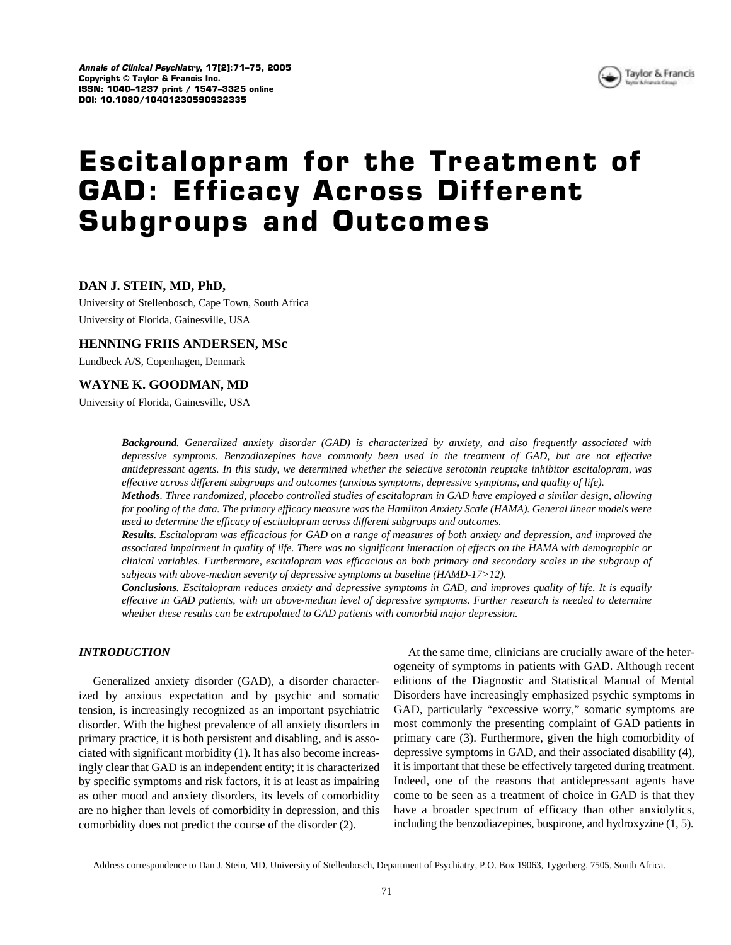

# **Escitalopram for the Treatment of GAD: Efficacy Across Different Subgroups and Outcomes**

## **DAN J. STEIN, MD, PhD,**

University of Stellenbosch, Cape Town, South Africa University of Florida, Gainesville, USA

## **HENNING FRIIS ANDERSEN, MSc**

Lundbeck A/S, Copenhagen, Denmark

## **WAYNE K. GOODMAN, MD**

University of Florida, Gainesville, USA

*Background. Generalized anxiety disorder (GAD) is characterized by anxiety, and also frequently associated with depressive symptoms. Benzodiazepines have commonly been used in the treatment of GAD, but are not effective antidepressant agents. In this study, we determined whether the selective serotonin reuptake inhibitor escitalopram, was effective across different subgroups and outcomes (anxious symptoms, depressive symptoms, and quality of life).*

*Methods. Three randomized, placebo controlled studies of escitalopram in GAD have employed a similar design, allowing for pooling of the data. The primary efficacy measure was the Hamilton Anxiety Scale (HAMA). General linear models were used to determine the efficacy of escitalopram across different subgroups and outcomes.*

*Results. Escitalopram was efficacious for GAD on a range of measures of both anxiety and depression, and improved the associated impairment in quality of life. There was no significant interaction of effects on the HAMA with demographic or clinical variables. Furthermore, escitalopram was efficacious on both primary and secondary scales in the subgroup of subjects with above-median severity of depressive symptoms at baseline (HAMD-17>12).*

*Conclusions. Escitalopram reduces anxiety and depressive symptoms in GAD, and improves quality of life. It is equally effective in GAD patients, with an above-median level of depressive symptoms. Further research is needed to determine whether these results can be extrapolated to GAD patients with comorbid major depression.*

#### *INTRODUCTION*

Generalized anxiety disorder (GAD), a disorder characterized by anxious expectation and by psychic and somatic tension, is increasingly recognized as an important psychiatric disorder. With the highest prevalence of all anxiety disorders in primary practice, it is both persistent and disabling, and is associated with significant morbidity (1). It has also become increasingly clear that GAD is an independent entity; it is characterized by specific symptoms and risk factors, it is at least as impairing as other mood and anxiety disorders, its levels of comorbidity are no higher than levels of comorbidity in depression, and this comorbidity does not predict the course of the disorder (2).

At the same time, clinicians are crucially aware of the heterogeneity of symptoms in patients with GAD. Although recent editions of the Diagnostic and Statistical Manual of Mental Disorders have increasingly emphasized psychic symptoms in GAD, particularly "excessive worry," somatic symptoms are most commonly the presenting complaint of GAD patients in primary care (3). Furthermore, given the high comorbidity of depressive symptoms in GAD, and their associated disability (4), it is important that these be effectively targeted during treatment. Indeed, one of the reasons that antidepressant agents have come to be seen as a treatment of choice in GAD is that they have a broader spectrum of efficacy than other anxiolytics, including the benzodiazepines, buspirone, and hydroxyzine (1, 5).

Address correspondence to Dan J. Stein, MD, University of Stellenbosch, Department of Psychiatry, P.O. Box 19063, Tygerberg, 7505, South Africa.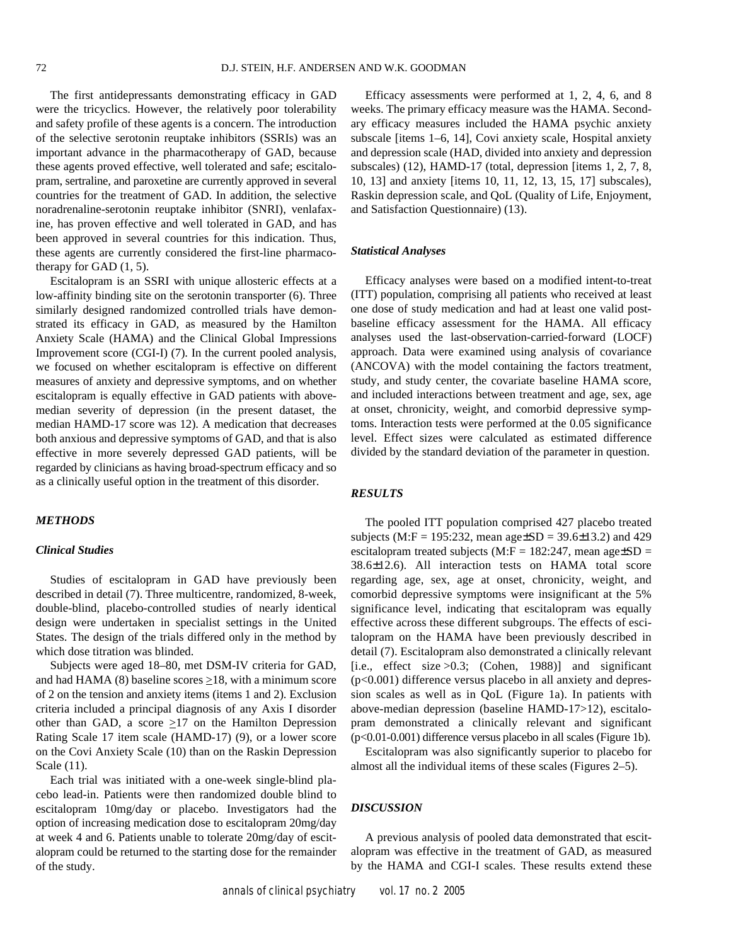The first antidepressants demonstrating efficacy in GAD were the tricyclics. However, the relatively poor tolerability and safety profile of these agents is a concern. The introduction of the selective serotonin reuptake inhibitors (SSRIs) was an important advance in the pharmacotherapy of GAD, because these agents proved effective, well tolerated and safe; escitalopram, sertraline, and paroxetine are currently approved in several countries for the treatment of GAD. In addition, the selective noradrenaline-serotonin reuptake inhibitor (SNRI), venlafaxine, has proven effective and well tolerated in GAD, and has been approved in several countries for this indication. Thus, these agents are currently considered the first-line pharmacotherapy for GAD (1, 5).

Escitalopram is an SSRI with unique allosteric effects at a low-affinity binding site on the serotonin transporter (6). Three similarly designed randomized controlled trials have demonstrated its efficacy in GAD, as measured by the Hamilton Anxiety Scale (HAMA) and the Clinical Global Impressions Improvement score (CGI-I) (7). In the current pooled analysis, we focused on whether escitalopram is effective on different measures of anxiety and depressive symptoms, and on whether escitalopram is equally effective in GAD patients with abovemedian severity of depression (in the present dataset, the median HAMD-17 score was 12). A medication that decreases both anxious and depressive symptoms of GAD, and that is also effective in more severely depressed GAD patients, will be regarded by clinicians as having broad-spectrum efficacy and so as a clinically useful option in the treatment of this disorder.

## *METHODS*

#### *Clinical Studies*

Studies of escitalopram in GAD have previously been described in detail (7). Three multicentre, randomized, 8-week, double-blind, placebo-controlled studies of nearly identical design were undertaken in specialist settings in the United States. The design of the trials differed only in the method by which dose titration was blinded.

Subjects were aged 18–80, met DSM-IV criteria for GAD, and had HAMA (8) baseline scores  $\geq$ 18, with a minimum score of 2 on the tension and anxiety items (items 1 and 2). Exclusion criteria included a principal diagnosis of any Axis I disorder other than GAD, a score  $\geq$ 17 on the Hamilton Depression Rating Scale 17 item scale (HAMD-17) (9), or a lower score on the Covi Anxiety Scale (10) than on the Raskin Depression Scale (11).

Each trial was initiated with a one-week single-blind placebo lead-in. Patients were then randomized double blind to escitalopram 10mg/day or placebo. Investigators had the option of increasing medication dose to escitalopram 20mg/day at week 4 and 6. Patients unable to tolerate 20mg/day of escitalopram could be returned to the starting dose for the remainder of the study.

Efficacy assessments were performed at 1, 2, 4, 6, and 8 weeks. The primary efficacy measure was the HAMA. Secondary efficacy measures included the HAMA psychic anxiety subscale [items 1–6, 14], Covi anxiety scale, Hospital anxiety and depression scale (HAD, divided into anxiety and depression subscales) (12), HAMD-17 (total, depression [items 1, 2, 7, 8, 10, 13] and anxiety [items 10, 11, 12, 13, 15, 17] subscales), Raskin depression scale, and QoL (Quality of Life, Enjoyment, and Satisfaction Questionnaire) (13).

#### *Statistical Analyses*

Efficacy analyses were based on a modified intent-to-treat (ITT) population, comprising all patients who received at least one dose of study medication and had at least one valid postbaseline efficacy assessment for the HAMA. All efficacy analyses used the last-observation-carried-forward (LOCF) approach. Data were examined using analysis of covariance (ANCOVA) with the model containing the factors treatment, study, and study center, the covariate baseline HAMA score, and included interactions between treatment and age, sex, age at onset, chronicity, weight, and comorbid depressive symptoms. Interaction tests were performed at the 0.05 significance level. Effect sizes were calculated as estimated difference divided by the standard deviation of the parameter in question.

#### *RESULTS*

The pooled ITT population comprised 427 placebo treated subjects (M:F = 195:232, mean age  $\pm SD = 39.6 \pm 13.2$ ) and 429 escitalopram treated subjects (M:F =  $182:247$ , mean age $\pm SD =$ 38.6±12.6). All interaction tests on HAMA total score regarding age, sex, age at onset, chronicity, weight, and comorbid depressive symptoms were insignificant at the 5% significance level, indicating that escitalopram was equally effective across these different subgroups. The effects of escitalopram on the HAMA have been previously described in detail (7). Escitalopram also demonstrated a clinically relevant [i.e., effect size  $>0.3$ ; (Cohen, 1988)] and significant (p<0.001) difference versus placebo in all anxiety and depression scales as well as in QoL (Figure 1a). In patients with above-median depression (baseline HAMD-17>12), escitalopram demonstrated a clinically relevant and significant (p<0.01-0.001) difference versus placebo in all scales (Figure 1b).

Escitalopram was also significantly superior to placebo for almost all the individual items of these scales (Figures 2–5).

#### *DISCUSSION*

A previous analysis of pooled data demonstrated that escitalopram was effective in the treatment of GAD, as measured by the HAMA and CGI-I scales. These results extend these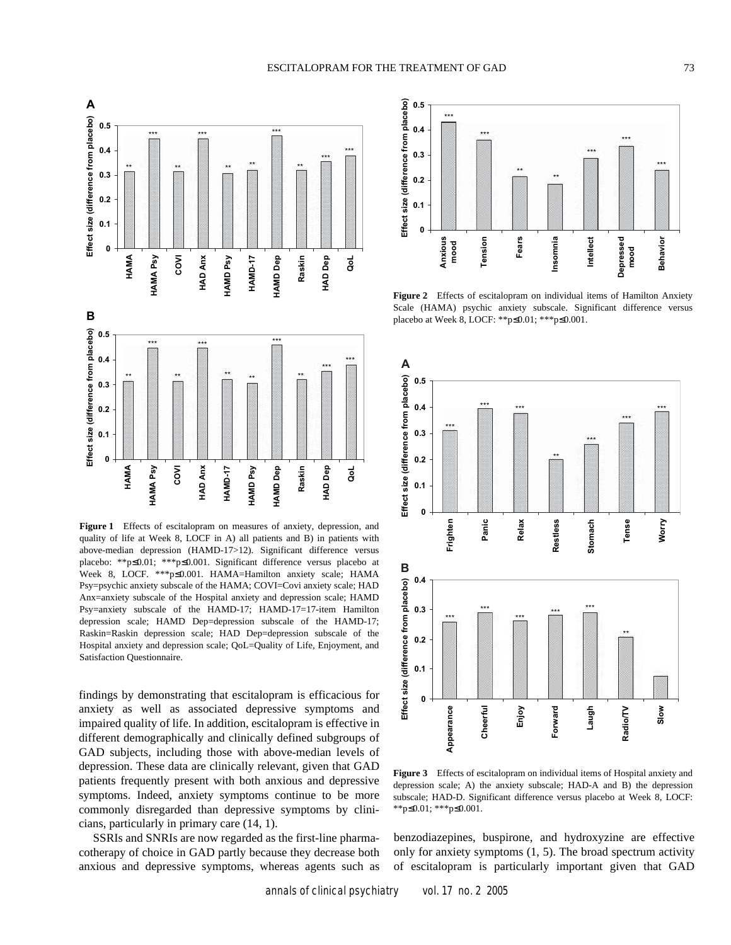

**Figure 1** Effects of escitalopram on measures of anxiety, depression, and quality of life at Week 8, LOCF in A) all patients and B) in patients with above-median depression (HAMD-17>12). Significant difference versus placebo: \*\*p≤0.01; \*\*\*p≤0.001. Significant difference versus placebo at Week 8, LOCF. \*\*\*p≤0.001. HAMA=Hamilton anxiety scale; HAMA Psy=psychic anxiety subscale of the HAMA; COVI=Covi anxiety scale; HAD Anx=anxiety subscale of the Hospital anxiety and depression scale; HAMD Psy=anxiety subscale of the HAMD-17; HAMD-17=17-item Hamilton depression scale; HAMD Dep=depression subscale of the HAMD-17; Raskin=Raskin depression scale; HAD Dep=depression subscale of the Hospital anxiety and depression scale; QoL=Quality of Life, Enjoyment, and Satisfaction Questionnaire.

findings by demonstrating that escitalopram is efficacious for anxiety as well as associated depressive symptoms and impaired quality of life. In addition, escitalopram is effective in different demographically and clinically defined subgroups of GAD subjects, including those with above-median levels of depression. These data are clinically relevant, given that GAD patients frequently present with both anxious and depressive symptoms. Indeed, anxiety symptoms continue to be more commonly disregarded than depressive symptoms by clinicians, particularly in primary care (14, 1).

SSRIs and SNRIs are now regarded as the first-line pharmacotherapy of choice in GAD partly because they decrease both anxious and depressive symptoms, whereas agents such as



**Figure 2** Effects of escitalopram on individual items of Hamilton Anxiety Scale (HAMA) psychic anxiety subscale. Significant difference versus placebo at Week 8, LOCF: \*\*p≤0.01; \*\*\*p≤0.001.



**Figure 3** Effects of escitalopram on individual items of Hospital anxiety and depression scale; A) the anxiety subscale; HAD-A and B) the depression subscale; HAD-D. Significant difference versus placebo at Week 8, LOCF: \*\*p≤0.01; \*\*\*p≤0.001.

benzodiazepines, buspirone, and hydroxyzine are effective only for anxiety symptoms (1, 5). The broad spectrum activity of escitalopram is particularly important given that GAD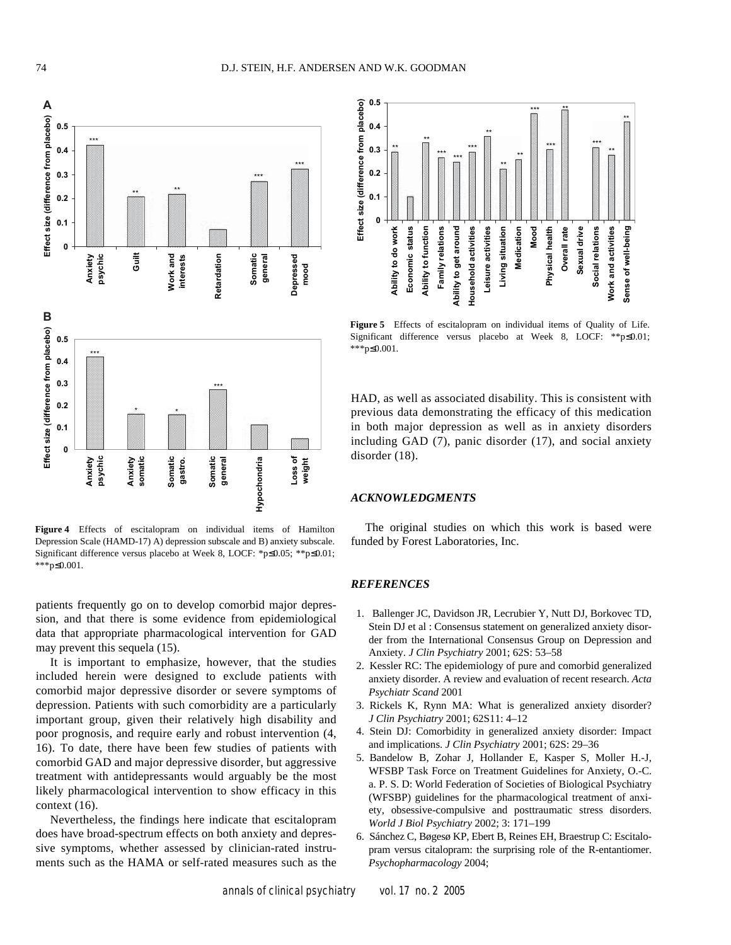

**Figure 4** Effects of escitalopram on individual items of Hamilton Depression Scale (HAMD-17) A) depression subscale and B) anxiety subscale. Significant difference versus placebo at Week 8, LOCF: \*p≤0.05; \*\*p≤0.01; \*\*\*p≤0.001.

patients frequently go on to develop comorbid major depression, and that there is some evidence from epidemiological data that appropriate pharmacological intervention for GAD may prevent this sequela (15).

It is important to emphasize, however, that the studies included herein were designed to exclude patients with comorbid major depressive disorder or severe symptoms of depression. Patients with such comorbidity are a particularly important group, given their relatively high disability and poor prognosis, and require early and robust intervention (4, 16). To date, there have been few studies of patients with comorbid GAD and major depressive disorder, but aggressive treatment with antidepressants would arguably be the most likely pharmacological intervention to show efficacy in this context (16).

Nevertheless, the findings here indicate that escitalopram does have broad-spectrum effects on both anxiety and depressive symptoms, whether assessed by clinician-rated instruments such as the HAMA or self-rated measures such as the



Figure 5 Effects of escitalopram on individual items of Quality of Life. Significant difference versus placebo at Week 8, LOCF: \*\*p≤0.01; \*\*\*p≤0.001.

HAD, as well as associated disability. This is consistent with previous data demonstrating the efficacy of this medication in both major depression as well as in anxiety disorders including GAD (7), panic disorder (17), and social anxiety disorder (18).

### *ACKNOWLEDGMENTS*

The original studies on which this work is based were funded by Forest Laboratories, Inc.

### *REFERENCES*

- 1. Ballenger JC, Davidson JR, Lecrubier Y, Nutt DJ, Borkovec TD, Stein DJ et al : Consensus statement on generalized anxiety disorder from the International Consensus Group on Depression and Anxiety. *J Clin Psychiatry* 2001; 62S: 53–58
- 2. Kessler RC: The epidemiology of pure and comorbid generalized anxiety disorder. A review and evaluation of recent research. *Acta Psychiatr Scand* 2001
- 3. Rickels K, Rynn MA: What is generalized anxiety disorder? *J Clin Psychiatry* 2001; 62S11: 4–12
- 4. Stein DJ: Comorbidity in generalized anxiety disorder: Impact and implications. *J Clin Psychiatry* 2001; 62S: 29–36
- 5. Bandelow B, Zohar J, Hollander E, Kasper S, Moller H.-J, WFSBP Task Force on Treatment Guidelines for Anxiety, O.-C. a. P. S. D: World Federation of Societies of Biological Psychiatry (WFSBP) guidelines for the pharmacological treatment of anxiety, obsessive-compulsive and posttraumatic stress disorders. *World J Biol Psychiatry* 2002; 3: 171–199
- 6. Sánchez C, Bøgesø KP, Ebert B, Reines EH, Braestrup C: Escitalopram versus citalopram: the surprising role of the R-entantiomer. *Psychopharmacology* 2004;